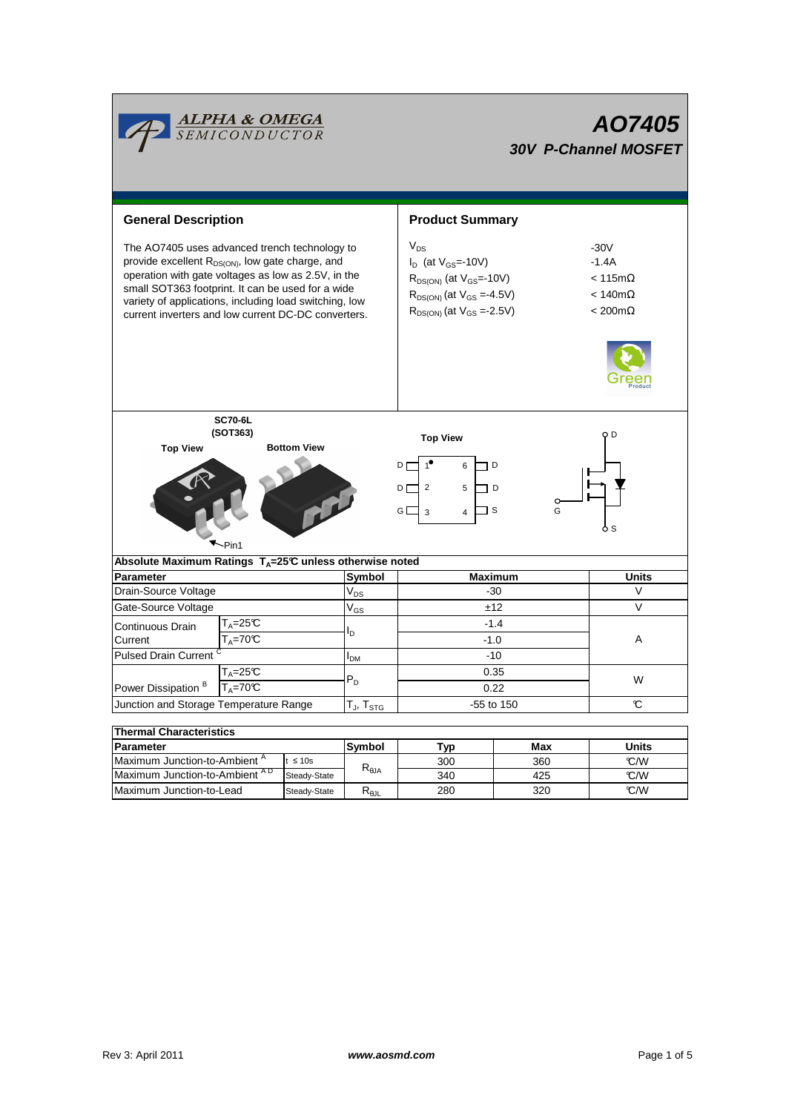|                                                                                                                                                                                                                                                                                                                                            | <b>ALPHA &amp; OMEGA</b><br>SEMICONDUCTOR |            | AO7405<br><b>30V P-Channel MOSFET</b> |                                                                                                                                                         |                                                                                                 |              |  |  |  |
|--------------------------------------------------------------------------------------------------------------------------------------------------------------------------------------------------------------------------------------------------------------------------------------------------------------------------------------------|-------------------------------------------|------------|---------------------------------------|---------------------------------------------------------------------------------------------------------------------------------------------------------|-------------------------------------------------------------------------------------------------|--------------|--|--|--|
| <b>General Description</b><br><b>Product Summary</b>                                                                                                                                                                                                                                                                                       |                                           |            |                                       |                                                                                                                                                         |                                                                                                 |              |  |  |  |
| The AO7405 uses advanced trench technology to<br>provide excellent R <sub>DS(ON)</sub> , low gate charge, and<br>operation with gate voltages as low as 2.5V, in the<br>small SOT363 footprint. It can be used for a wide<br>variety of applications, including load switching, low<br>current inverters and low current DC-DC converters. |                                           |            |                                       | $V_{DS}$<br>$I_D$ (at $V_{GS}$ =-10V)<br>$R_{DS(ON)}$ (at $V_{GS}$ =-10V)<br>$R_{DS(ON)}$ (at $V_{GS} = -4.5V$ )<br>$R_{DS(ON)}$ (at $V_{GS} = -2.5V$ ) | $-30V$<br>$-1.4A$<br>$< 115 \text{m}\Omega$<br>$< 140 \text{m}\Omega$<br>$< 200 \text{m}\Omega$ |              |  |  |  |
| <b>SC70-6L</b><br>(SOT363)<br><b>Bottom View</b><br><b>Top View</b>                                                                                                                                                                                                                                                                        |                                           |            |                                       | <b>Top View</b><br>D <sub>L</sub><br>6<br>D<br>$\overline{2}$<br>5<br>DГ<br>ם ו                                                                         | o D                                                                                             |              |  |  |  |
| 1 s<br>GD<br>G<br>3<br>$\overline{4}$<br>ò S<br>$\nightharpoondown_{Pin1}$                                                                                                                                                                                                                                                                 |                                           |            |                                       |                                                                                                                                                         |                                                                                                 |              |  |  |  |
| Absolute Maximum Ratings $T_A = 25^\circ \text{C}$ unless otherwise noted                                                                                                                                                                                                                                                                  |                                           |            |                                       |                                                                                                                                                         |                                                                                                 |              |  |  |  |
| <b>Parameter</b>                                                                                                                                                                                                                                                                                                                           |                                           |            | Symbol                                | <b>Maximum</b>                                                                                                                                          | <b>Units</b>                                                                                    |              |  |  |  |
| Drain-Source Voltage                                                                                                                                                                                                                                                                                                                       |                                           |            | $V_{DS}$                              | $-30$                                                                                                                                                   | V                                                                                               |              |  |  |  |
| Gate-Source Voltage                                                                                                                                                                                                                                                                                                                        |                                           |            | $V_{GS}$                              |                                                                                                                                                         | ±12                                                                                             | $\vee$       |  |  |  |
| Continuous Drain<br>Current                                                                                                                                                                                                                                                                                                                | $T_A = 25C$<br>$T_A = 70C$                |            | l <sub>D</sub>                        | $-1.4$<br>$-1.0$                                                                                                                                        |                                                                                                 | A            |  |  |  |
| Pulsed Drain Current <sup>C</sup>                                                                                                                                                                                                                                                                                                          |                                           |            | I <sub>DM</sub>                       | $-10$                                                                                                                                                   |                                                                                                 |              |  |  |  |
| $T_A = 25C$                                                                                                                                                                                                                                                                                                                                |                                           |            | $P_D$                                 | 0.35                                                                                                                                                    |                                                                                                 | W            |  |  |  |
| Power Dissipation <sup>B</sup><br>$T_A = 70C$                                                                                                                                                                                                                                                                                              |                                           |            |                                       | 0.22                                                                                                                                                    |                                                                                                 |              |  |  |  |
| Junction and Storage Temperature Range                                                                                                                                                                                                                                                                                                     |                                           |            | $T_J$ , $T_{STG}$                     | -55 to 150                                                                                                                                              |                                                                                                 | C            |  |  |  |
| <b>Thermal Characteristics</b>                                                                                                                                                                                                                                                                                                             |                                           |            |                                       |                                                                                                                                                         |                                                                                                 |              |  |  |  |
| <b>Parameter</b>                                                                                                                                                                                                                                                                                                                           |                                           |            | Symbol                                | Typ                                                                                                                                                     | <b>Max</b>                                                                                      | <b>Units</b> |  |  |  |
| Maximum Junction-to-Ambient <sup>A</sup><br>$t \leq 10s$                                                                                                                                                                                                                                                                                   |                                           |            | 300                                   | 360                                                                                                                                                     | °C/W                                                                                            |              |  |  |  |
| Maximum Junction-to-Ambient AD<br>Steady-State                                                                                                                                                                                                                                                                                             |                                           | $R_{0,IA}$ | 340                                   | 425                                                                                                                                                     | °C/W                                                                                            |              |  |  |  |

Steady-State R<sub>θJL</sub>

Maximum Junction-to-Lead  $\qquad$  Steady-State R<sub>eJL</sub> 280 320 ℃/W Maximum Junction-to-Ambient  $^{AD}$  Steady-State  $^{D_0JA}$   $\boxed{340}$  425  $^{D_0A}$ 

280

320

T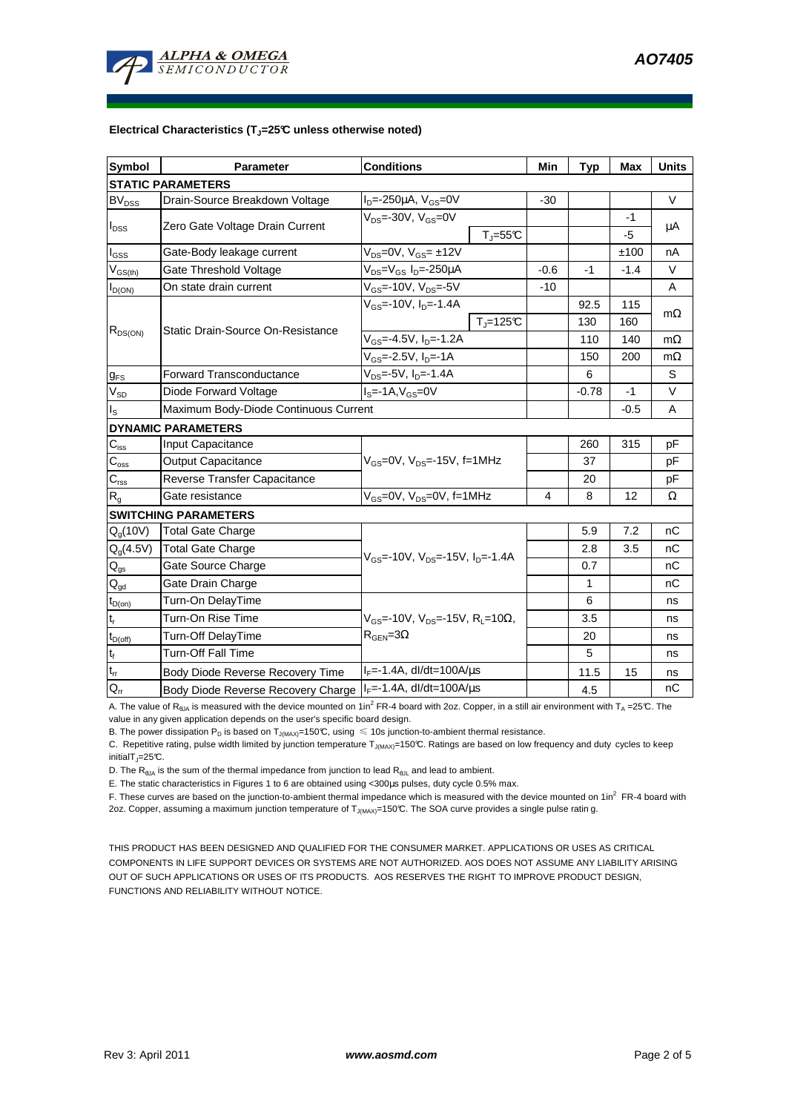

#### **Electrical Characteristics (TJ=25°C unless otherwise noted)**

| <b>Symbol</b>                          | Parameter                                                                                                                     | <b>Conditions</b>                                       | Min     | <b>Typ</b> | <b>Max</b> | <b>Units</b> |  |  |  |  |  |
|----------------------------------------|-------------------------------------------------------------------------------------------------------------------------------|---------------------------------------------------------|---------|------------|------------|--------------|--|--|--|--|--|
| <b>STATIC PARAMETERS</b>               |                                                                                                                               |                                                         |         |            |            |              |  |  |  |  |  |
| <b>BV<sub>DSS</sub></b>                | Drain-Source Breakdown Voltage                                                                                                | $I_{D} = -250 \mu A$ , $V_{GS} = 0V$                    | $-30$   |            |            | V            |  |  |  |  |  |
| $I_{DSS}$                              | Zero Gate Voltage Drain Current                                                                                               | $V_{DS}$ =-30V, $V_{GS}$ =0V                            |         |            | -1         | μA           |  |  |  |  |  |
|                                        |                                                                                                                               | $T_{\parallel} = 55$ °C                                 |         |            | -5         |              |  |  |  |  |  |
| $I_{GSS}$                              | Gate-Body leakage current                                                                                                     | $V_{DS} = 0V$ , $V_{GS} = \pm 12V$                      |         |            | ±100       | nA           |  |  |  |  |  |
| $V_{GS(th)}$                           | Gate Threshold Voltage                                                                                                        | V <sub>DS</sub> =V <sub>GS</sub> I <sub>D</sub> =-250µA | $-0.6$  | -1         | $-1.4$     | V            |  |  |  |  |  |
| $I_{D(ON)}$                            | On state drain current                                                                                                        | $V_{GS}$ =-10V, $V_{DS}$ =-5V                           | $-10$   |            |            | A            |  |  |  |  |  |
| $R_{DS(ON)}$                           |                                                                                                                               | $V_{GS}$ =-10V, $I_{D}$ =-1.4A                          |         | 92.5       | 115        | $m\Omega$    |  |  |  |  |  |
|                                        | <b>Static Drain-Source On-Resistance</b>                                                                                      | $T_{\parallel} = 125$ °C                                |         | 130        | 160        |              |  |  |  |  |  |
|                                        |                                                                                                                               | $V_{GS}$ =-4.5V, $I_{D}$ =-1.2A                         |         | 110        | 140        | $m\Omega$    |  |  |  |  |  |
|                                        |                                                                                                                               | $V_{GS}$ =-2.5V, I <sub>D</sub> =-1A                    |         | 150        | 200        | $m\Omega$    |  |  |  |  |  |
| $g_{FS}$                               | $V_{DS} = -5V$ , $I_{D} = -1.4A$<br><b>Forward Transconductance</b>                                                           |                                                         |         | 6          |            | S            |  |  |  |  |  |
| $V_{SD}$                               | Diode Forward Voltage                                                                                                         |                                                         | $-0.78$ | $-1$       | V          |              |  |  |  |  |  |
| ıs.                                    | Maximum Body-Diode Continuous Current                                                                                         |                                                         |         | $-0.5$     | A          |              |  |  |  |  |  |
|                                        | <b>DYNAMIC PARAMETERS</b>                                                                                                     |                                                         |         |            |            |              |  |  |  |  |  |
| $C_{\text{iss}}$                       | Input Capacitance                                                                                                             |                                                         |         | 260        | 315        | pF           |  |  |  |  |  |
| $C_{\rm oss}$                          | Output Capacitance                                                                                                            | $V_{GS}$ =0V, $V_{DS}$ =-15V, f=1MHz                    |         | 37         |            | рF           |  |  |  |  |  |
| $C_{\rm rss}$                          | Reverse Transfer Capacitance                                                                                                  |                                                         |         | 20         |            | pF           |  |  |  |  |  |
| $\mathsf{R}_{\mathsf{g}}$              | Gate resistance                                                                                                               | $V_{GS}$ =0V, $V_{DS}$ =0V, f=1MHz                      | 4       | 8          | 12         | Ω            |  |  |  |  |  |
| <b>SWITCHING PARAMETERS</b>            |                                                                                                                               |                                                         |         |            |            |              |  |  |  |  |  |
| $Q_q(10V)$                             | Total Gate Charge                                                                                                             |                                                         |         | 5.9        | 7.2        | nС           |  |  |  |  |  |
| $Q_g(4.5V)$                            | <b>Total Gate Charge</b>                                                                                                      | $V_{GS}$ =-10V, $V_{DS}$ =-15V, $I_{D}$ =-1.4A          |         | 2.8        | 3.5        | nC           |  |  |  |  |  |
| $\mathsf{Q}_{\text{gs}}$               | Gate Source Charge                                                                                                            |                                                         |         | 0.7        |            | nС           |  |  |  |  |  |
| $\mathsf{Q}_{\underline{\mathsf{gd}}}$ | Gate Drain Charge                                                                                                             |                                                         |         | 1          |            | nC           |  |  |  |  |  |
| $t_{D(on)}$                            | Turn-On DelayTime                                                                                                             |                                                         |         | 6          |            | ns           |  |  |  |  |  |
| $t_r$                                  | Turn-On Rise Time<br>$V_{GS}$ =-10V, $V_{DS}$ =-15V, R <sub>L</sub> =10Ω,<br>$R_{\text{GEN}} = 3\Omega$<br>Turn-Off DelayTime |                                                         |         | 3.5        |            | ns           |  |  |  |  |  |
| $t_{D(off)}$                           |                                                                                                                               |                                                         |         | 20         |            | ns           |  |  |  |  |  |
| $t_f$                                  | <b>Turn-Off Fall Time</b>                                                                                                     |                                                         |         | 5          |            | ns           |  |  |  |  |  |
| $t_{rr}$                               | Body Diode Reverse Recovery Time                                                                                              | $I_F = -1.4A$ , dl/dt=100A/ $\mu$ s                     |         | 11.5       | 15         | ns           |  |  |  |  |  |
| $Q_{rr}$                               | Body Diode Reverse Recovery Charge   IF=-1.4A, dl/dt=100A/μs                                                                  |                                                         |         | 4.5        |            | nC           |  |  |  |  |  |

A. The value of R<sub>θJA</sub> is measured with the device mounted on 1in<sup>2</sup> FR-4 board with 2oz. Copper, in a still air environment with T<sub>A</sub> =25℃. The value in any given application depends on the user's specific board design.

B. The power dissipation P<sub>D</sub> is based on T<sub>J(MAX)</sub>=150°C, using  $\leq 10$ s junction-to-ambient thermal resistance.

C. Repetitive rating, pulse width limited by junction temperature  $T_{J(MAX)}$ =150°C. Ratings are based on low frequency and duty cycles to keep  $initialT = 25^{\circ}C$ .

D. The  $R_{\theta JA}$  is the sum of the thermal impedance from junction to lead  $R_{\theta JL}$  and lead to ambient.

E. The static characteristics in Figures 1 to 6 are obtained using <300µs pulses, duty cycle 0.5% max.

F. These curves are based on the junction-to-ambient thermal impedance which is measured with the device mounted on 1in<sup>2</sup> FR-4 board with 2oz. Copper, assuming a maximum junction temperature of  $T_{J(MAX)}$ =150°C. The SOA curve provides a single pulse ratin g.

THIS PRODUCT HAS BEEN DESIGNED AND QUALIFIED FOR THE CONSUMER MARKET. APPLICATIONS OR USES AS CRITICAL COMPONENTS IN LIFE SUPPORT DEVICES OR SYSTEMS ARE NOT AUTHORIZED. AOS DOES NOT ASSUME ANY LIABILITY ARISING OUT OF SUCH APPLICATIONS OR USES OF ITS PRODUCTS. AOS RESERVES THE RIGHT TO IMPROVE PRODUCT DESIGN, FUNCTIONS AND RELIABILITY WITHOUT NOTICE.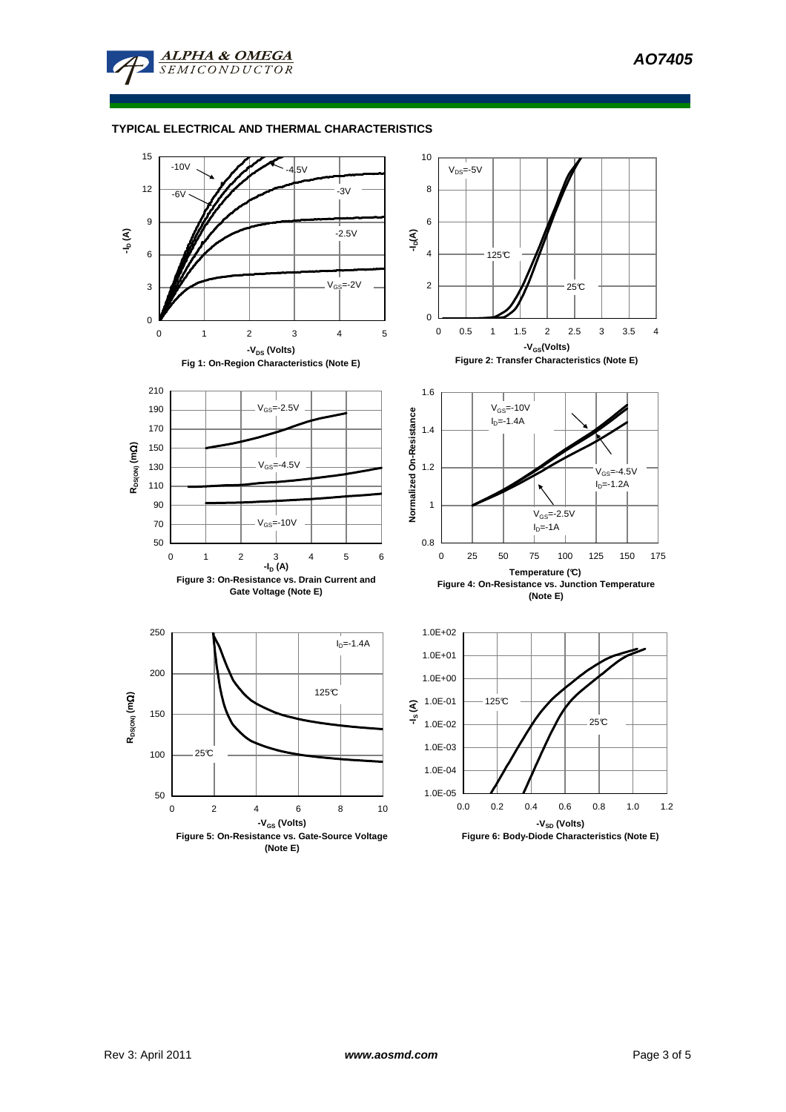

## **TYPICAL ELECTRICAL AND THERMAL CHARACTERISTICS**

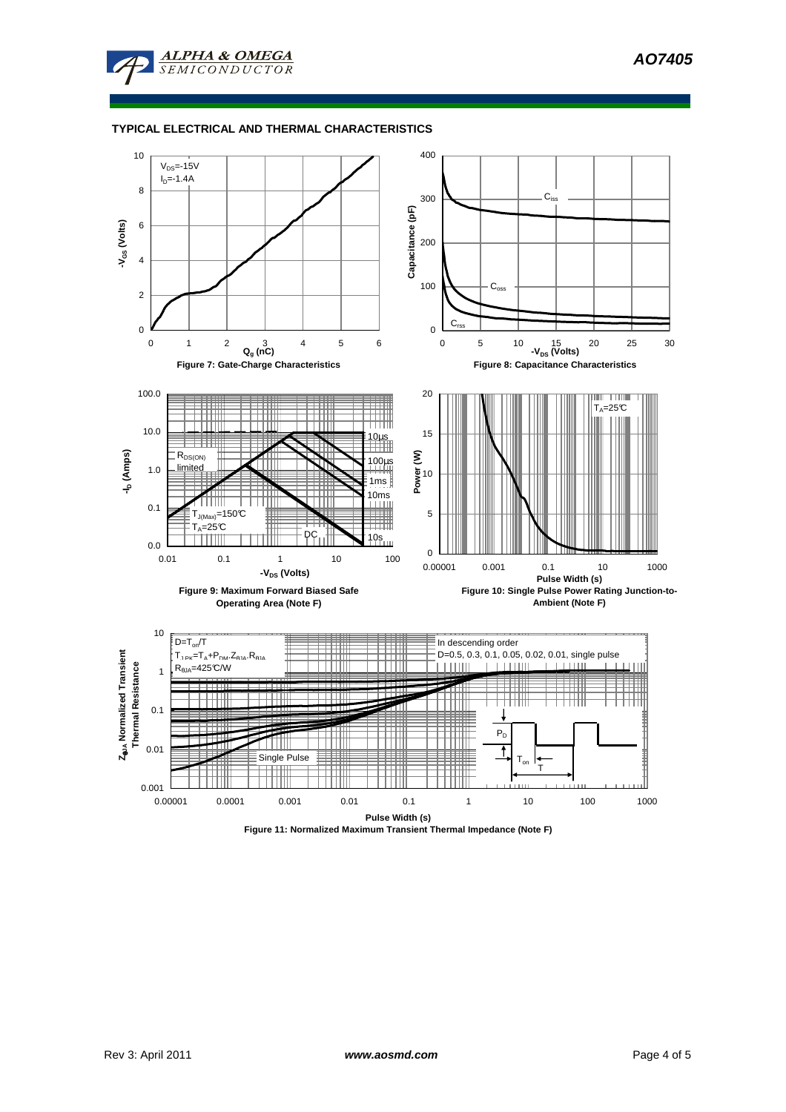

## **TYPICAL ELECTRICAL AND THERMAL CHARACTERISTICS**